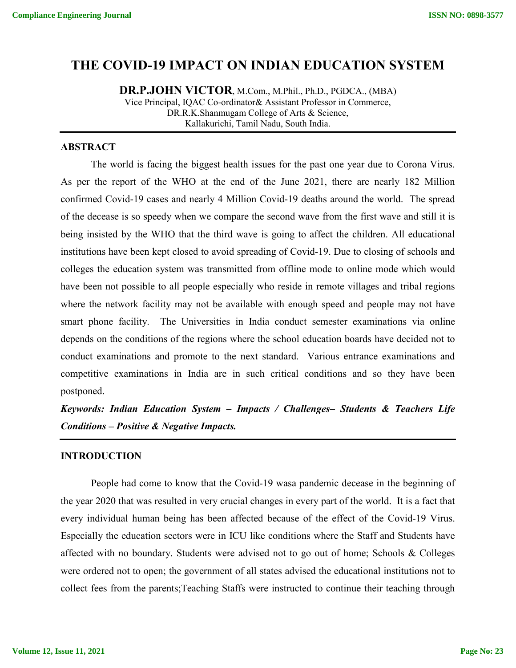# **THE COVID-19 IMPACT ON INDIAN EDUCATION SYSTEM**

**DR.P.JOHN VICTOR**, M.Com., M.Phil., Ph.D., PGDCA., (MBA) Vice Principal, IQAC Co-ordinator& Assistant Professor in Commerce, DR.R.K.Shanmugam College of Arts & Science, Kallakurichi, Tamil Nadu, South India.

#### **ABSTRACT**

The world is facing the biggest health issues for the past one year due to Corona Virus. As per the report of the WHO at the end of the June 2021, there are nearly 182 Million confirmed Covid-19 cases and nearly 4 Million Covid-19 deaths around the world. The spread of the decease is so speedy when we compare the second wave from the first wave and still it is being insisted by the WHO that the third wave is going to affect the children. All educational institutions have been kept closed to avoid spreading of Covid-19. Due to closing of schools and colleges the education system was transmitted from offline mode to online mode which would have been not possible to all people especially who reside in remote villages and tribal regions where the network facility may not be available with enough speed and people may not have smart phone facility. The Universities in India conduct semester examinations via online depends on the conditions of the regions where the school education boards have decided not to conduct examinations and promote to the next standard. Various entrance examinations and competitive examinations in India are in such critical conditions and so they have been postponed.

*Keywords: Indian Education System – Impacts / Challenges– Students & Teachers Life Conditions – Positive & Negative Impacts.*

#### **INTRODUCTION**

People had come to know that the Covid-19 wasa pandemic decease in the beginning of the year 2020 that was resulted in very crucial changes in every part of the world. It is a fact that every individual human being has been affected because of the effect of the Covid-19 Virus. Especially the education sectors were in ICU like conditions where the Staff and Students have affected with no boundary. Students were advised not to go out of home; Schools & Colleges were ordered not to open; the government of all states advised the educational institutions not to collect fees from the parents;Teaching Staffs were instructed to continue their teaching through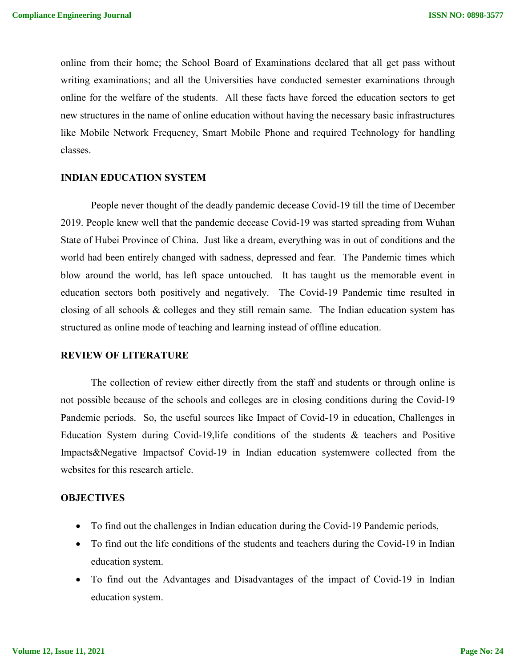online from their home; the School Board of Examinations declared that all get pass without writing examinations; and all the Universities have conducted semester examinations through online for the welfare of the students. All these facts have forced the education sectors to get new structures in the name of online education without having the necessary basic infrastructures like Mobile Network Frequency, Smart Mobile Phone and required Technology for handling classes.

#### **INDIAN EDUCATION SYSTEM**

People never thought of the deadly pandemic decease Covid-19 till the time of December 2019. People knew well that the pandemic decease Covid-19 was started spreading from Wuhan State of Hubei Province of China. Just like a dream, everything was in out of conditions and the world had been entirely changed with sadness, depressed and fear. The Pandemic times which blow around the world, has left space untouched. It has taught us the memorable event in education sectors both positively and negatively. The Covid-19 Pandemic time resulted in closing of all schools & colleges and they still remain same. The Indian education system has structured as online mode of teaching and learning instead of offline education.

#### **REVIEW OF LITERATURE**

The collection of review either directly from the staff and students or through online is not possible because of the schools and colleges are in closing conditions during the Covid-19 Pandemic periods. So, the useful sources like Impact of Covid-19 in education, Challenges in Education System during Covid-19,life conditions of the students & teachers and Positive Impacts&Negative Impactsof Covid-19 in Indian education systemwere collected from the websites for this research article.

#### **OBJECTIVES**

- To find out the challenges in Indian education during the Covid-19 Pandemic periods,
- To find out the life conditions of the students and teachers during the Covid-19 in Indian education system.
- To find out the Advantages and Disadvantages of the impact of Covid-19 in Indian education system.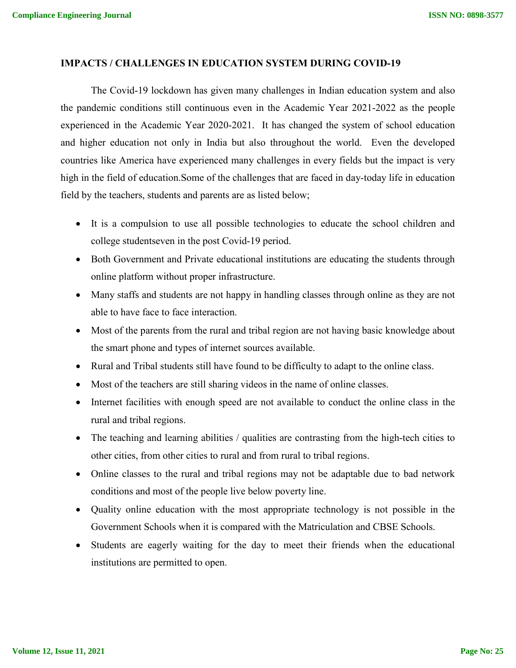#### **IMPACTS / CHALLENGES IN EDUCATION SYSTEM DURING COVID-19**

The Covid-19 lockdown has given many challenges in Indian education system and also the pandemic conditions still continuous even in the Academic Year 2021-2022 as the people experienced in the Academic Year 2020-2021. It has changed the system of school education and higher education not only in India but also throughout the world. Even the developed countries like America have experienced many challenges in every fields but the impact is very high in the field of education.Some of the challenges that are faced in day-today life in education field by the teachers, students and parents are as listed below;

- It is a compulsion to use all possible technologies to educate the school children and college studentseven in the post Covid-19 period.
- Both Government and Private educational institutions are educating the students through online platform without proper infrastructure.
- Many staffs and students are not happy in handling classes through online as they are not able to have face to face interaction.
- Most of the parents from the rural and tribal region are not having basic knowledge about the smart phone and types of internet sources available.
- Rural and Tribal students still have found to be difficulty to adapt to the online class.
- Most of the teachers are still sharing videos in the name of online classes.
- Internet facilities with enough speed are not available to conduct the online class in the rural and tribal regions.
- The teaching and learning abilities / qualities are contrasting from the high-tech cities to other cities, from other cities to rural and from rural to tribal regions.
- Online classes to the rural and tribal regions may not be adaptable due to bad network conditions and most of the people live below poverty line.
- Quality online education with the most appropriate technology is not possible in the Government Schools when it is compared with the Matriculation and CBSE Schools.
- Students are eagerly waiting for the day to meet their friends when the educational institutions are permitted to open.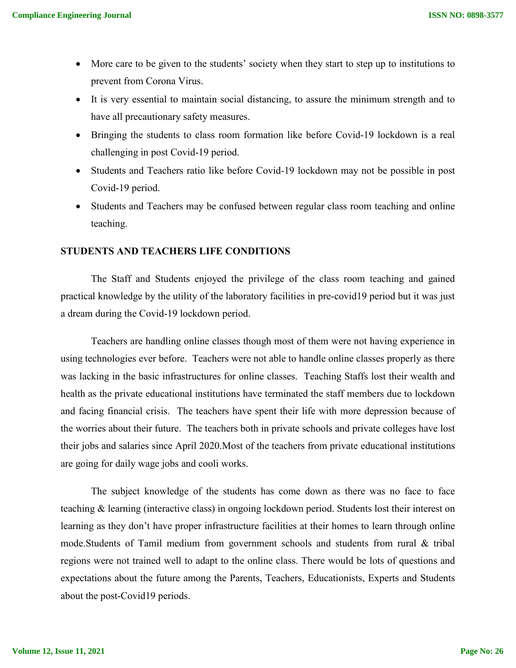- More care to be given to the students' society when they start to step up to institutions to prevent from Corona Virus.
- It is very essential to maintain social distancing, to assure the minimum strength and to have all precautionary safety measures.
- Bringing the students to class room formation like before Covid-19 lockdown is a real challenging in post Covid-19 period.
- Students and Teachers ratio like before Covid-19 lockdown may not be possible in post Covid-19 period.
- Students and Teachers may be confused between regular class room teaching and online teaching.

## **STUDENTS AND TEACHERS LIFE CONDITIONS**

The Staff and Students enjoyed the privilege of the class room teaching and gained practical knowledge by the utility of the laboratory facilities in pre-covid19 period but it was just a dream during the Covid-19 lockdown period.

Teachers are handling online classes though most of them were not having experience in using technologies ever before. Teachers were not able to handle online classes properly as there was lacking in the basic infrastructures for online classes. Teaching Staffs lost their wealth and health as the private educational institutions have terminated the staff members due to lockdown and facing financial crisis. The teachers have spent their life with more depression because of the worries about their future. The teachers both in private schools and private colleges have lost their jobs and salaries since April 2020.Most of the teachers from private educational institutions are going for daily wage jobs and cooli works.

The subject knowledge of the students has come down as there was no face to face teaching & learning (interactive class) in ongoing lockdown period. Students lost their interest on learning as they don't have proper infrastructure facilities at their homes to learn through online mode.Students of Tamil medium from government schools and students from rural & tribal regions were not trained well to adapt to the online class. There would be lots of questions and expectations about the future among the Parents, Teachers, Educationists, Experts and Students about the post-Covid19 periods.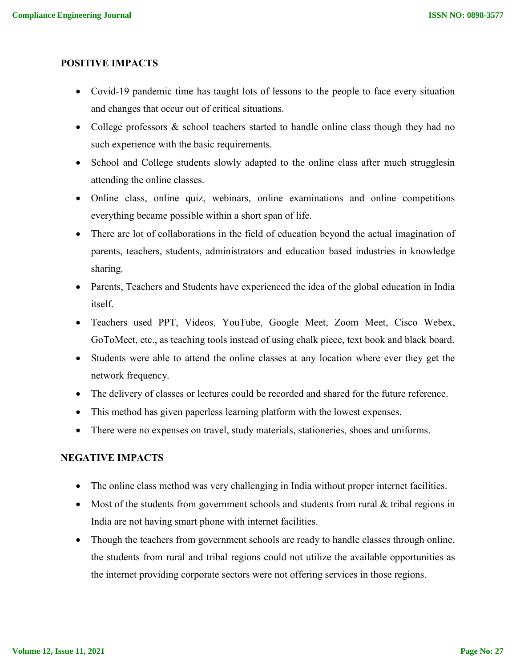## **POSITIVE IMPACTS**

- Covid-19 pandemic time has taught lots of lessons to the people to face every situation and changes that occur out of critical situations.
- College professors & school teachers started to handle online class though they had no such experience with the basic requirements.
- School and College students slowly adapted to the online class after much strugglesin attending the online classes.
- Online class, online quiz, webinars, online examinations and online competitions everything became possible within a short span of life.
- There are lot of collaborations in the field of education beyond the actual imagination of parents, teachers, students, administrators and education based industries in knowledge sharing.
- Parents, Teachers and Students have experienced the idea of the global education in India itself.
- Teachers used PPT, Videos, YouTube, Google Meet, Zoom Meet, Cisco Webex, GoToMeet, etc., as teaching tools instead of using chalk piece, text book and black board.
- Students were able to attend the online classes at any location where ever they get the network frequency.
- The delivery of classes or lectures could be recorded and shared for the future reference.
- This method has given paperless learning platform with the lowest expenses.
- There were no expenses on travel, study materials, stationeries, shoes and uniforms.

## **NEGATIVE IMPACTS**

- The online class method was very challenging in India without proper internet facilities.
- Most of the students from government schools and students from rural & tribal regions in India are not having smart phone with internet facilities.
- Though the teachers from government schools are ready to handle classes through online, the students from rural and tribal regions could not utilize the available opportunities as the internet providing corporate sectors were not offering services in those regions.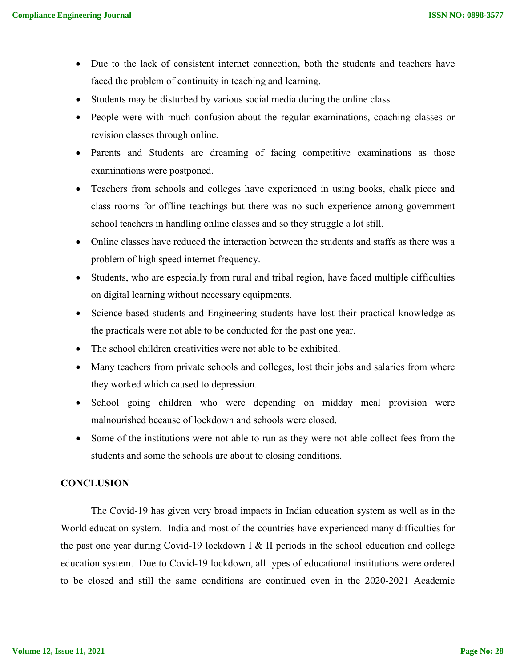- Due to the lack of consistent internet connection, both the students and teachers have faced the problem of continuity in teaching and learning.
- Students may be disturbed by various social media during the online class.
- People were with much confusion about the regular examinations, coaching classes or revision classes through online.
- Parents and Students are dreaming of facing competitive examinations as those examinations were postponed.
- Teachers from schools and colleges have experienced in using books, chalk piece and class rooms for offline teachings but there was no such experience among government school teachers in handling online classes and so they struggle a lot still.
- Online classes have reduced the interaction between the students and staffs as there was a problem of high speed internet frequency.
- Students, who are especially from rural and tribal region, have faced multiple difficulties on digital learning without necessary equipments.
- Science based students and Engineering students have lost their practical knowledge as the practicals were not able to be conducted for the past one year.
- The school children creativities were not able to be exhibited.
- Many teachers from private schools and colleges, lost their jobs and salaries from where they worked which caused to depression.
- School going children who were depending on midday meal provision were malnourished because of lockdown and schools were closed.
- Some of the institutions were not able to run as they were not able collect fees from the students and some the schools are about to closing conditions.

### **CONCLUSION**

The Covid-19 has given very broad impacts in Indian education system as well as in the World education system. India and most of the countries have experienced many difficulties for the past one year during Covid-19 lockdown I & II periods in the school education and college education system. Due to Covid-19 lockdown, all types of educational institutions were ordered to be closed and still the same conditions are continued even in the 2020-2021 Academic